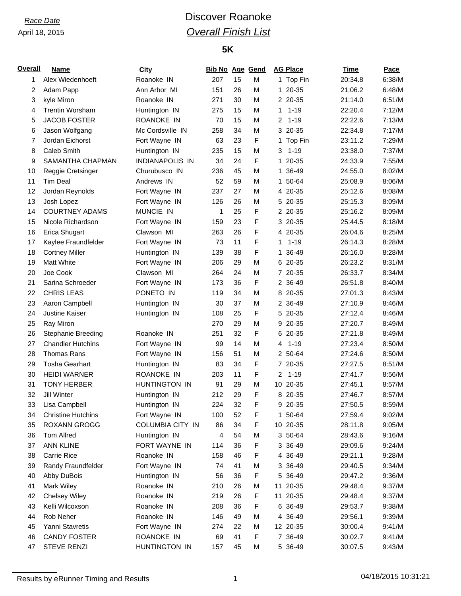# *Race Date* **Discover Roanoke** *Overall Finish List*

### **5K**

| <b>Overall</b> | <b>Name</b>               | <b>City</b>            | <b>Bib No Age Gend</b> |    |   |                | <b>AG Place</b> | <b>Time</b> | Pace   |
|----------------|---------------------------|------------------------|------------------------|----|---|----------------|-----------------|-------------|--------|
| 1              | Alex Wiedenhoeft          | Roanoke IN             | 207                    | 15 | M |                | 1 Top Fin       | 20:34.8     | 6:38/M |
| 2              | Adam Papp                 | Ann Arbor MI           | 151                    | 26 | M | $\mathbf{1}$   | 20-35           | 21:06.2     | 6:48/M |
| 3              | kyle Miron                | Roanoke IN             | 271                    | 30 | M |                | 2 20-35         | 21:14.0     | 6:51/M |
| 4              | <b>Trentin Worsham</b>    | Huntington IN          | 275                    | 15 | M | 1              | $1 - 19$        | 22:20.4     | 7:12/M |
| 5              | <b>JACOB FOSTER</b>       | ROANOKE IN             | 70                     | 15 | M | 2              | $1 - 19$        | 22:22.6     | 7:13/M |
| 6              | Jason Wolfgang            | Mc Cordsville IN       | 258                    | 34 | M |                | 3 20-35         | 22:34.8     | 7:17/M |
| 7              | Jordan Eichorst           | Fort Wayne IN          | 63                     | 23 | F |                | 1 Top Fin       | 23:11.2     | 7:29/M |
| 8              | Caleb Smith               | Huntington IN          | 235                    | 15 | M | 3              | $1 - 19$        | 23:38.0     | 7:37/M |
| 9              | SAMANTHA CHAPMAN          | <b>INDIANAPOLIS IN</b> | 34                     | 24 | F |                | 1 20-35         | 24:33.9     | 7:55/M |
| 10             | Reggie Cretsinger         | Churubusco IN          | 236                    | 45 | M | 1              | 36-49           | 24:55.0     | 8:02/M |
| 11             | <b>Tim Deal</b>           | Andrews IN             | 52                     | 59 | M |                | 1 50-64         | 25:08.9     | 8:06/M |
| 12             | Jordan Reynolds           | Fort Wayne IN          | 237                    | 27 | M |                | 4 20-35         | 25:12.6     | 8:08/M |
| 13             | Josh Lopez                | Fort Wayne IN          | 126                    | 26 | M |                | 5 20-35         | 25:15.3     | 8:09/M |
| 14             | <b>COURTNEY ADAMS</b>     | MUNCIE IN              | 1                      | 25 | F |                | 2 20-35         | 25:16.2     | 8:09/M |
| 15             | Nicole Richardson         | Fort Wayne IN          | 159                    | 23 | F |                | 3 20-35         | 25:44.5     | 8:18/M |
| 16             | Erica Shugart             | Clawson MI             | 263                    | 26 | F |                | 4 20-35         | 26:04.6     | 8:25/M |
| 17             | Kaylee Fraundfelder       | Fort Wayne IN          | 73                     | 11 | F | 1              | $1 - 19$        | 26:14.3     | 8:28/M |
| 18             | <b>Cortney Miller</b>     | Huntington IN          | 139                    | 38 | F | 1              | 36-49           | 26:16.0     | 8:28/M |
| 19             | <b>Matt White</b>         | Fort Wayne IN          | 206                    | 29 | M |                | 6 20-35         | 26:23.2     | 8:31/M |
| 20             | Joe Cook                  | Clawson MI             | 264                    | 24 | M |                | 7 20-35         | 26:33.7     | 8:34/M |
| 21             | Sarina Schroeder          | Fort Wayne IN          | 173                    | 36 | F |                | 2 36-49         | 26:51.8     | 8:40/M |
| 22             | <b>CHRIS LEAS</b>         | PONETO IN              | 119                    | 34 | M |                | 8 20-35         | 27:01.3     | 8:43/M |
| 23             | Aaron Campbell            | Huntington IN          | 30                     | 37 | M |                | 2 36-49         | 27:10.9     | 8:46/M |
| 24             | <b>Justine Kaiser</b>     | Huntington IN          | 108                    | 25 | F |                | 5 20-35         | 27:12.4     | 8:46/M |
| 25             | Ray Miron                 |                        | 270                    | 29 | M |                | 9 20-35         | 27:20.7     | 8:49/M |
| 26             | <b>Stephanie Breeding</b> | Roanoke IN             | 251                    | 32 | F | 6              | 20-35           | 27:21.8     | 8:49/M |
| 27             | <b>Chandler Hutchins</b>  | Fort Wayne IN          | 99                     | 14 | M | 4              | $1 - 19$        | 27:23.4     | 8:50/M |
| 28             | <b>Thomas Rans</b>        | Fort Wayne IN          | 156                    | 51 | M |                | 2 50-64         | 27:24.6     | 8:50/M |
| 29             | <b>Tosha Gearhart</b>     | Huntington IN          | 83                     | 34 | F |                | 7 20-35         | 27:27.5     | 8:51/M |
| 30             | <b>HEIDI WARNER</b>       | ROANOKE IN             | 203                    | 11 | F | $\overline{2}$ | $1 - 19$        | 27:41.7     | 8:56/M |
| 31             | <b>TONY HERBER</b>        | HUNTINGTON IN          | 91                     | 29 | M |                | 10 20-35        | 27:45.1     | 8:57/M |
| 32             | Jill Winter               | Huntington IN          | 212                    | 29 | F |                | 8 20-35         | 27:46.7     | 8:57/M |
| 33             | Lisa Campbell             | Huntington IN          | 224                    | 32 | F |                | 9 20-35         | 27:50.5     | 8:59/M |
| 34             | <b>Christine Hutchins</b> | Fort Wayne IN          | 100                    | 52 | F |                | 1 50-64         | 27:59.4     | 9:02/M |
| 35             | <b>ROXANN GROGG</b>       | COLUMBIA CITY IN       | 86                     | 34 | F |                | 10 20-35        | 28:11.8     | 9:05/M |
| 36             | <b>Tom Allred</b>         | Huntington IN          | 4                      | 54 | M |                | 3 50-64         | 28:43.6     | 9:16/M |
| 37             | <b>ANN KLINE</b>          | FORT WAYNE IN          | 114                    | 36 | F |                | 3 36-49         | 29:09.6     | 9:24/M |
| 38             | Carrie Rice               | Roanoke IN             | 158                    | 46 | F |                | 4 36-49         | 29:21.1     | 9:28/M |
| 39             | Randy Fraundfelder        | Fort Wayne IN          | 74                     | 41 | М |                | 3 36-49         | 29:40.5     | 9:34/M |
| 40             | Abby DuBois               | Huntington IN          | 56                     | 36 | F |                | 5 36-49         | 29:47.2     | 9:36/M |
| 41             | Mark Wiley                | Roanoke IN             | 210                    | 26 | M |                | 11 20-35        | 29:48.4     | 9:37/M |
| 42             | <b>Chelsey Wiley</b>      | Roanoke IN             | 219                    | 26 | F | 11             | 20-35           | 29:48.4     | 9:37/M |
| 43             | Kelli Wilcoxson           | Roanoke IN             | 208                    | 36 | F |                | 6 36-49         | 29:53.7     | 9:38/M |
| 44             | Rob Neher                 | Roanoke IN             | 146                    | 49 | M |                | 4 36-49         | 29:56.1     | 9:39/M |
| 45             | Yanni Stavretis           | Fort Wayne IN          | 274                    | 22 | M |                | 12 20-35        | 30:00.4     | 9:41/M |
| 46             | <b>CANDY FOSTER</b>       | ROANOKE IN             | 69                     | 41 | F |                | 7 36-49         |             | 9:41/M |
|                |                           |                        |                        |    |   |                |                 | 30:02.7     |        |
| 47             | <b>STEVE RENZI</b>        | HUNTINGTON IN          | 157                    | 45 | М |                | 5 36-49         | 30:07.5     | 9:43/M |

Results by eRunner Timing and Results 1 04/18/2015 10:31:21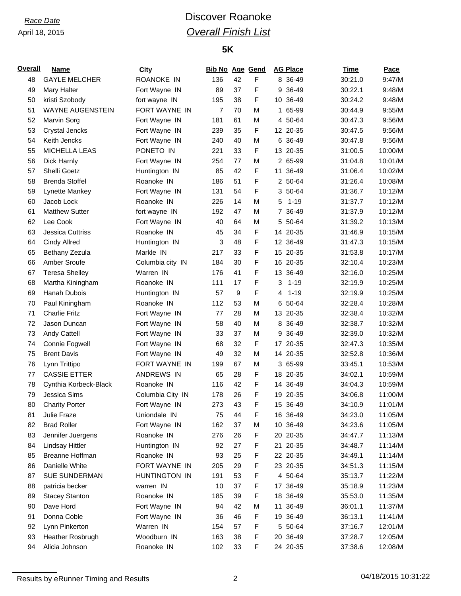# *Race Date* **Discover Roanoke** *Overall Finish List*

### **5K**

| <b>Overall</b> | <b>Name</b>             | <b>City</b>       | <b>Bib No Age Gend</b> |    |   |   | <b>AG Place</b> | <u>Time</u> | Pace    |
|----------------|-------------------------|-------------------|------------------------|----|---|---|-----------------|-------------|---------|
| 48             | <b>GAYLE MELCHER</b>    | <b>ROANOKE IN</b> | 136                    | 42 | F |   | 8 36-49         | 30:21.0     | 9:47/M  |
| 49             | Mary Halter             | Fort Wayne IN     | 89                     | 37 | F |   | 9 36-49         | 30:22.1     | 9:48/M  |
| 50             | kristi Szobody          | fort wayne IN     | 195                    | 38 | F |   | 10 36-49        | 30:24.2     | 9:48/M  |
| 51             | <b>WAYNE AUGENSTEIN</b> | FORT WAYNE IN     | $\overline{7}$         | 70 | M |   | 1 65-99         | 30:44.9     | 9:55/M  |
| 52             | Marvin Sorg             | Fort Wayne IN     | 181                    | 61 | M |   | 4 50-64         | 30:47.3     | 9:56/M  |
| 53             | <b>Crystal Jencks</b>   | Fort Wayne IN     | 239                    | 35 | F |   | 12 20-35        | 30:47.5     | 9:56/M  |
| 54             | Keith Jencks            | Fort Wayne IN     | 240                    | 40 | M |   | 6 36-49         | 30:47.8     | 9:56/M  |
| 55             | <b>MICHELLA LEAS</b>    | PONETO IN         | 221                    | 33 | F |   | 13 20-35        | 31:00.5     | 10:00/M |
| 56             | Dick Harnly             | Fort Wayne IN     | 254                    | 77 | M |   | 2 65-99         | 31:04.8     | 10:01/M |
| 57             | Shelli Goetz            | Huntington IN     | 85                     | 42 | F |   | 11 36-49        | 31:06.4     | 10:02/M |
| 58             | <b>Brenda Stoffel</b>   | Roanoke IN        | 186                    | 51 | F |   | 2 50-64         | 31:26.4     | 10:08/M |
| 59             | Lynette Mankey          | Fort Wayne IN     | 131                    | 54 | F |   | 3 50-64         | 31:36.7     | 10:12/M |
| 60             | Jacob Lock              | Roanoke IN        | 226                    | 14 | M | 5 | $1 - 19$        | 31:37.7     | 10:12/M |
| 61             | <b>Matthew Sutter</b>   | fort wayne IN     | 192                    | 47 | M |   | 7 36-49         | 31:37.9     | 10:12/M |
| 62             | Lee Cook                | Fort Wayne IN     | 40                     | 64 | M |   | 5 50-64         | 31:39.2     | 10:13/M |
| 63             | <b>Jessica Cuttriss</b> | Roanoke IN        | 45                     | 34 | F |   | 14 20-35        | 31:46.9     | 10:15/M |
| 64             | <b>Cindy Allred</b>     | Huntington IN     | 3                      | 48 | F |   | 12 36-49        | 31:47.3     | 10:15/M |
| 65             | Bethany Zezula          | Markle IN         | 217                    | 33 | F |   | 15 20-35        | 31:53.8     | 10:17/M |
| 66             | Amber Sroufe            | Columbia city IN  | 184                    | 30 | F |   | 16 20-35        | 32:10.4     | 10:23/M |
| 67             | <b>Teresa Shelley</b>   | Warren IN         | 176                    | 41 | F |   | 13 36-49        | 32:16.0     | 10:25/M |
| 68             | Martha Kiningham        | Roanoke IN        | 111                    | 17 | F | 3 | $1 - 19$        | 32:19.9     | 10:25/M |
| 69             | Hanah Dubois            | Huntington IN     | 57                     | 9  | F | 4 | $1 - 19$        | 32:19.9     | 10:25/M |
| 70             | Paul Kiningham          | Roanoke IN        | 112                    | 53 | M |   | 6 50-64         | 32:28.4     | 10:28/M |
| 71             | <b>Charlie Fritz</b>    | Fort Wayne IN     | 77                     | 28 | M |   | 13 20-35        | 32:38.4     | 10:32/M |
| 72             | Jason Duncan            | Fort Wayne IN     | 58                     | 40 | M |   | 8 36-49         | 32:38.7     | 10:32/M |
| 73             | Andy Cattell            | Fort Wayne IN     | 33                     | 37 | M |   | 9 36-49         | 32:39.0     | 10:32/M |
| 74             | Connie Fogwell          | Fort Wayne IN     | 68                     | 32 | F |   | 17 20-35        | 32:47.3     | 10:35/M |
| 75             | <b>Brent Davis</b>      | Fort Wayne IN     | 49                     | 32 | M |   | 14 20-35        | 32:52.8     | 10:36/M |
| 76             | Lynn Trittipo           | FORT WAYNE IN     | 199                    | 67 | M |   | 3 65-99         | 33:45.1     | 10:53/M |
| 77             | <b>CASSIE ETTER</b>     | ANDREWS IN        | 65                     | 28 | F |   | 18 20-35        | 34:02.1     | 10:59/M |
| 78             | Cynthia Korbeck-Black   | Roanoke IN        | 116                    | 42 | F |   | 14 36-49        | 34:04.3     | 10:59/M |
| 79             | Jessica Sims            | Columbia City IN  | 178                    | 26 | F |   | 19 20-35        | 34:06.8     | 11:00/M |
| 80             | <b>Charity Porter</b>   | Fort Wayne IN     | 273                    | 43 | F |   | 15 36-49        | 34:10.9     | 11:01/M |
| 81             | Julie Fraze             | Uniondale IN      | 75                     | 44 | F |   | 16 36-49        | 34:23.0     | 11:05/M |
| 82             | <b>Brad Roller</b>      | Fort Wayne IN     | 162                    | 37 | M |   | 10 36-49        | 34:23.6     | 11:05/M |
| 83             | Jennifer Juergens       | Roanoke IN        | 276                    | 26 | F |   | 20 20-35        | 34:47.7     | 11:13/M |
| 84             | Lindsay Hittler         | Huntington IN     | 92                     | 27 | F |   | 21 20-35        | 34:48.7     | 11:14/M |
| 85             | <b>Breanne Hoffman</b>  | Roanoke IN        | 93                     | 25 | F |   | 22 20-35        | 34:49.1     | 11:14/M |
| 86             | Danielle White          | FORT WAYNE IN     | 205                    | 29 | F |   | 23 20-35        | 34:51.3     | 11:15/M |
| 87             | <b>SUE SUNDERMAN</b>    | HUNTINGTON IN     | 191                    | 53 | F |   | 4 50-64         | 35:13.7     | 11:22/M |
| 88             | patricia becker         | warren IN         | 10                     | 37 | F |   | 17 36-49        | 35:18.9     | 11:23/M |
| 89             | <b>Stacey Stanton</b>   | Roanoke IN        | 185                    | 39 | F |   | 18 36-49        | 35:53.0     | 11:35/M |
| 90             | Dave Hord               | Fort Wayne IN     | 94                     | 42 | M |   | 11 36-49        | 36:01.1     | 11:37/M |
| 91             | Donna Coble             | Fort Wayne IN     | 36                     | 46 | F |   | 19 36-49        | 36:13.1     | 11:41/M |
| 92             | Lynn Pinkerton          | Warren IN         | 154                    | 57 | F |   | 5 50-64         | 37:16.7     | 12:01/M |
| 93             | Heather Rosbrugh        | Woodburn IN       | 163                    | 38 | F |   | 20 36-49        | 37:28.7     | 12:05/M |
| 94             | Alicia Johnson          | Roanoke IN        | 102                    | 33 | F |   | 24 20-35        | 37:38.6     | 12:08/M |

Results by eRunner Timing and Results 2 2 and 2 04/18/2015 10:31:22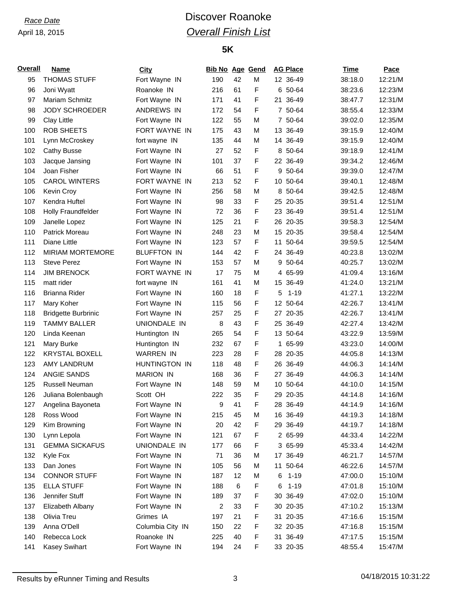# *Race Date* **Discover Roanoke** *Overall Finish List*

### **5K**

| <b>Overall</b> | <b>Name</b>                | City               | <b>Bib No Age Gend</b> |    |   |    | <b>AG Place</b> | <b>Time</b> | Pace    |
|----------------|----------------------------|--------------------|------------------------|----|---|----|-----------------|-------------|---------|
| 95             | <b>THOMAS STUFF</b>        | Fort Wayne IN      | 190                    | 42 | M |    | 12 36-49        | 38:18.0     | 12:21/M |
| 96             | Joni Wyatt                 | Roanoke IN         | 216                    | 61 | F |    | 6 50-64         | 38:23.6     | 12:23/M |
| 97             | <b>Mariam Schmitz</b>      | Fort Wayne IN      | 171                    | 41 | F | 21 | 36-49           | 38:47.7     | 12:31/M |
| 98             | <b>JODY SCHROEDER</b>      | <b>ANDREWS IN</b>  | 172                    | 54 | F |    | 7 50-64         | 38:55.4     | 12:33/M |
| 99             | <b>Clay Little</b>         | Fort Wayne IN      | 122                    | 55 | M |    | 7 50-64         | 39:02.0     | 12:35/M |
| 100            | <b>ROB SHEETS</b>          | FORT WAYNE IN      | 175                    | 43 | M |    | 13 36-49        | 39:15.9     | 12:40/M |
| 101            | Lynn McCroskey             | fort wayne IN      | 135                    | 44 | M |    | 14 36-49        | 39:15.9     | 12:40/M |
| 102            | Cathy Busse                | Fort Wayne IN      | 27                     | 52 | F |    | 8 50-64         | 39:18.9     | 12:41/M |
| 103            | Jacque Jansing             | Fort Wayne IN      | 101                    | 37 | F |    | 22 36-49        | 39:34.2     | 12:46/M |
| 104            | Joan Fisher                | Fort Wayne IN      | 66                     | 51 | F |    | 9 50-64         | 39:39.0     | 12:47/M |
| 105            | <b>CAROL WINTERS</b>       | FORT WAYNE IN      | 213                    | 52 | F |    | 10 50-64        | 39:40.1     | 12:48/M |
| 106            | Kevin Croy                 | Fort Wayne IN      | 256                    | 58 | M |    | 8 50-64         | 39:42.5     | 12:48/M |
| 107            | Kendra Huftel              | Fort Wayne IN      | 98                     | 33 | F |    | 25 20-35        | 39:51.4     | 12:51/M |
| 108            | <b>Holly Fraundfelder</b>  | Fort Wayne IN      | 72                     | 36 | F |    | 23 36-49        | 39:51.4     | 12:51/M |
| 109            | Janelle Lopez              | Fort Wayne IN      | 125                    | 21 | F |    | 26 20-35        | 39:58.3     | 12:54/M |
| 110            | Patrick Moreau             | Fort Wayne IN      | 248                    | 23 | M |    | 15 20-35        | 39:58.4     | 12:54/M |
| 111            | Diane Little               | Fort Wayne IN      | 123                    | 57 | F |    | 11 50-64        | 39:59.5     | 12:54/M |
| 112            | <b>MIRIAM MORTEMORE</b>    | <b>BLUFFTON IN</b> | 144                    | 42 | F |    | 24 36-49        | 40:23.8     | 13:02/M |
| 113            | <b>Steve Perez</b>         | Fort Wayne IN      | 153                    | 57 | M |    | 9 50-64         | 40:25.7     | 13:02/M |
| 114            | <b>JIM BRENOCK</b>         | FORT WAYNE IN      | 17                     | 75 | M |    | 4 65-99         | 41:09.4     | 13:16/M |
| 115            | matt rider                 | fort wayne IN      | 161                    | 41 | M |    | 15 36-49        | 41:24.0     | 13:21/M |
| 116            | Brianna Rider              | Fort Wayne IN      | 160                    | 18 | F | 5  | $1 - 19$        | 41:27.1     | 13:22/M |
| 117            | Mary Koher                 | Fort Wayne IN      | 115                    | 56 | F |    | 12 50-64        | 42:26.7     | 13:41/M |
| 118            | <b>Bridgette Burbrinic</b> | Fort Wayne IN      | 257                    | 25 | F |    | 27 20-35        | 42:26.7     | 13:41/M |
| 119            | <b>TAMMY BALLER</b>        | UNIONDALE IN       | 8                      | 43 | F |    | 25 36-49        | 42:27.4     | 13:42/M |
| 120            | Linda Keenan               | Huntington IN      | 265                    | 54 | F |    | 13 50-64        | 43:22.9     | 13:59/M |
| 121            | Mary Burke                 | Huntington IN      | 232                    | 67 | F | 1. | 65-99           | 43:23.0     | 14:00/M |
| 122            | <b>KRYSTAL BOXELL</b>      | <b>WARREN IN</b>   | 223                    | 28 | F |    | 28 20-35        | 44:05.8     | 14:13/M |
| 123            | <b>AMY LANDRUM</b>         | HUNTINGTON IN      | 118                    | 48 | F |    | 26 36-49        | 44:06.3     | 14:14/M |
| 124            | ANGIE SANDS                | <b>MARION IN</b>   | 168                    | 36 | F | 27 | 36-49           | 44:06.3     | 14:14/M |
| 125            | Russell Neuman             | Fort Wayne IN      | 148                    | 59 | M |    | 10 50-64        | 44:10.0     | 14:15/M |
| 126            | Juliana Bolenbaugh         | Scott OH           | 222                    | 35 | F |    | 29 20-35        | 44:14.8     | 14:16/M |
| 127            | Angelina Bayoneta          | Fort Wayne IN      | 9                      | 41 | F |    | 28 36-49        | 44:14.9     | 14:16/M |
| 128            | Ross Wood                  | Fort Wayne IN      | 215                    | 45 | M |    | 16 36-49        | 44:19.3     | 14:18/M |
| 129            | Kim Browning               | Fort Wayne IN      | 20                     | 42 | F |    | 29 36-49        | 44:19.7     | 14:18/M |
| 130            | Lynn Lepola                | Fort Wayne IN      | 121                    | 67 | F |    | 2 65-99         | 44:33.4     | 14:22/M |
| 131            | <b>GEMMA SICKAFUS</b>      | UNIONDALE IN       | 177                    | 66 | F |    | 3 65-99         | 45:33.4     | 14:42/M |
| 132            | Kyle Fox                   | Fort Wayne IN      | 71                     | 36 | M |    | 17 36-49        | 46:21.7     | 14:57/M |
| 133            | Dan Jones                  | Fort Wayne IN      | 105                    | 56 | M |    | 11 50-64        | 46:22.6     | 14:57/M |
| 134            | <b>CONNOR STUFF</b>        | Fort Wayne IN      | 187                    | 12 | M | 6  | $1 - 19$        | 47:00.0     | 15:10/M |
| 135            | <b>ELLA STUFF</b>          | Fort Wayne IN      | 188                    | 6  | F | 6  | $1 - 19$        | 47:01.8     | 15:10/M |
| 136            | Jennifer Stuff             | Fort Wayne IN      | 189                    | 37 | F | 30 | 36-49           | 47:02.0     | 15:10/M |
| 137            | Elizabeth Albany           | Fort Wayne IN      | 2                      | 33 | F |    | 30 20-35        | 47:10.2     | 15:13/M |
| 138            | Olivia Treu                | Grimes IA          | 197                    | 21 | F |    | 31 20-35        | 47:16.6     | 15:15/M |
| 139            | Anna O'Dell                | Columbia City IN   | 150                    | 22 | F |    | 32 20-35        | 47:16.8     | 15:15/M |
| 140            | Rebecca Lock               | Roanoke IN         | 225                    | 40 | F |    | 31 36-49        | 47:17.5     | 15:15/M |
| 141            | Kasey Swihart              | Fort Wayne IN      | 194                    | 24 | F |    | 33 20-35        | 48:55.4     | 15:47/M |

Results by eRunner Timing and Results 3 04/18/2015 10:31:22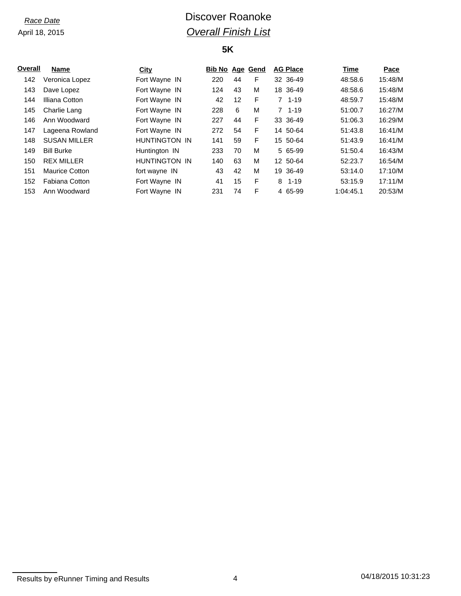# *Race Date* **Discover Roanoke** *Overall Finish List*

### **5K**

| Overall | <b>Name</b>           | City          | <b>Bib No Age Gend</b> |    |   | <b>AG Place</b> | Time      | Pace    |
|---------|-----------------------|---------------|------------------------|----|---|-----------------|-----------|---------|
| 142     | Veronica Lopez        | Fort Wayne IN | 220                    | 44 | F | 32 36-49        | 48:58.6   | 15:48/M |
| 143     | Dave Lopez            | Fort Wayne IN | 124                    | 43 | М | 18 36-49        | 48:58.6   | 15:48/M |
| 144     | Illiana Cotton        | Fort Wayne IN | 42                     | 12 | F | $7, 1-19$       | 48:59.7   | 15:48/M |
| 145     | Charlie Lang          | Fort Wayne IN | 228                    | 6  | M | $7 \t1-19$      | 51:00.7   | 16:27/M |
| 146     | Ann Woodward          | Fort Wayne IN | 227                    | 44 | F | 33 36-49        | 51:06.3   | 16:29/M |
| 147     | Lageena Rowland       | Fort Wayne IN | 272                    | 54 | F | 14 50-64        | 51:43.8   | 16:41/M |
| 148     | <b>SUSAN MILLER</b>   | HUNTINGTON IN | 141                    | 59 | F | 15 50-64        | 51:43.9   | 16:41/M |
| 149     | <b>Bill Burke</b>     | Huntington IN | 233                    | 70 | M | 5 65-99         | 51:50.4   | 16:43/M |
| 150     | <b>REX MILLER</b>     | HUNTINGTON IN | 140                    | 63 | М | 12 50-64        | 52:23.7   | 16:54/M |
| 151     | <b>Maurice Cotton</b> | fort wayne IN | 43                     | 42 | M | 19 36-49        | 53:14.0   | 17:10/M |
| 152     | Fabiana Cotton        | Fort Wayne IN | 41                     | 15 | F | $8, 1 - 19$     | 53:15.9   | 17:11/M |
| 153     | Ann Woodward          | Fort Wayne IN | 231                    | 74 | F | 4 65-99         | 1:04:45.1 | 20:53/M |

Results by eRunner Timing and Results 10:31:23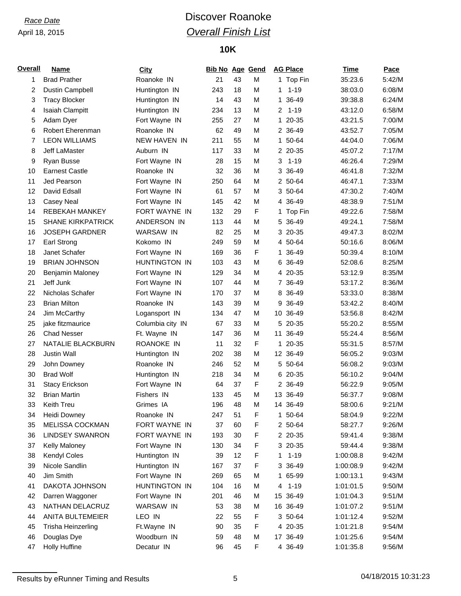# *Race Date* **Discover Roanoke** *Overall Finish List*

## **10K**

| <b>Overall</b> | <b>Name</b>              | <b>City</b>      | <b>Bib No Age Gend</b> |    |   |    | <b>AG Place</b> | <b>Time</b> | Pace   |
|----------------|--------------------------|------------------|------------------------|----|---|----|-----------------|-------------|--------|
| 1              | <b>Brad Prather</b>      | Roanoke IN       | 21                     | 43 | M |    | 1 Top Fin       | 35:23.6     | 5:42/M |
| 2              | <b>Dustin Campbell</b>   | Huntington IN    | 243                    | 18 | M | 1  | $1 - 19$        | 38:03.0     | 6:08/M |
| 3              | <b>Tracy Blocker</b>     | Huntington IN    | 14                     | 43 | M | 1  | 36-49           | 39:38.8     | 6:24/M |
| 4              | Isaiah Clampitt          | Huntington IN    | 234                    | 13 | M | 2  | $1 - 19$        | 43:12.0     | 6:58/M |
| 5              | Adam Dyer                | Fort Wayne IN    | 255                    | 27 | M |    | 1 20-35         | 43:21.5     | 7:00/M |
| 6              | Robert Eherenman         | Roanoke IN       | 62                     | 49 | M |    | 2 36-49         | 43:52.7     | 7:05/M |
| 7              | <b>LEON WILLIAMS</b>     | NEW HAVEN IN     | 211                    | 55 | M |    | 1 50-64         | 44:04.0     | 7:06/M |
| 8              | Jeff LaMaster            | Auburn IN        | 117                    | 33 | M |    | 2 20-35         | 45:07.2     | 7:17/M |
| 9              | Ryan Busse               | Fort Wayne IN    | 28                     | 15 | M | 3  | $1 - 19$        | 46:26.4     | 7:29/M |
| 10             | <b>Earnest Castle</b>    | Roanoke IN       | 32                     | 36 | M | 3  | 36-49           | 46:41.8     | 7:32/M |
| 11             | Jed Pearson              | Fort Wayne IN    | 250                    | 64 | M |    | 2 50-64         | 46:47.1     | 7:33/M |
| 12             | David Edsall             | Fort Wayne IN    | 61                     | 57 | M |    | 3 50-64         | 47:30.2     | 7:40/M |
| 13             | Casey Neal               | Fort Wayne IN    | 145                    | 42 | M |    | 4 36-49         | 48:38.9     | 7:51/M |
| 14             | <b>REBEKAH MANKEY</b>    | FORT WAYNE IN    | 132                    | 29 | F | 1  | Top Fin         | 49:22.6     | 7:58/M |
| 15             | <b>SHANE KIRKPATRICK</b> | ANDERSON IN      | 113                    | 44 | M | 5  | 36-49           | 49:24.1     | 7:58/M |
| 16             | <b>JOSEPH GARDNER</b>    | WARSAW IN        | 82                     | 25 | M |    | 3 20-35         | 49:47.3     | 8:02/M |
| 17             | Earl Strong              | Kokomo IN        | 249                    | 59 | M |    | 4 50-64         | 50:16.6     | 8:06/M |
| 18             | Janet Schafer            | Fort Wayne IN    | 169                    | 36 | F | 1  | 36-49           | 50:39.4     | 8:10/M |
| 19             | <b>BRIAN JOHNSON</b>     | HUNTINGTON IN    | 103                    | 43 | M |    | 6 36-49         | 52:08.6     | 8:25/M |
| 20             | Benjamin Maloney         | Fort Wayne IN    | 129                    | 34 | M |    | 4 20-35         | 53:12.9     | 8:35/M |
| 21             | Jeff Junk                | Fort Wayne IN    | 107                    | 44 | M |    | 7 36-49         | 53:17.2     | 8:36/M |
| 22             | Nicholas Schafer         | Fort Wayne IN    | 170                    | 37 | M |    | 8 36-49         | 53:33.0     | 8:38/M |
| 23             | <b>Brian Milton</b>      | Roanoke IN       | 143                    | 39 | M | 9  | 36-49           | 53:42.2     | 8:40/M |
| 24             | Jim McCarthy             | Logansport IN    | 134                    | 47 | M |    | 10 36-49        | 53:56.8     | 8:42/M |
| 25             | jake fitzmaurice         | Columbia city IN | 67                     | 33 | M |    | 5 20-35         | 55:20.2     | 8:55/M |
| 26             | <b>Chad Nesser</b>       | Ft. Wayne IN     | 147                    | 36 | M | 11 | 36-49           | 55:24.4     | 8:56/M |
| 27             | NATALIE BLACKBURN        | ROANOKE IN       | 11                     | 32 | F |    | 1 20-35         | 55:31.5     | 8:57/M |
| 28             | Justin Wall              | Huntington IN    | 202                    | 38 | M |    | 12 36-49        | 56:05.2     | 9:03/M |
| 29             | John Downey              | Roanoke IN       | 246                    | 52 | M |    | 5 50-64         | 56:08.2     | 9:03/M |
| 30             | <b>Brad Wolf</b>         | Huntington IN    | 218                    | 34 | M |    | 6 20-35         | 56:10.2     | 9:04/M |
| 31             | <b>Stacy Erickson</b>    | Fort Wayne IN    | 64                     | 37 | F |    | 2 36-49         | 56:22.9     | 9:05/M |
| 32             | <b>Brian Martin</b>      | Fishers IN       | 133                    | 45 | M |    | 13 36-49        | 56:37.7     | 9:08/M |
| 33             | Keith Treu               | Grimes IA        | 196                    | 48 | М |    | 14 36-49        | 58:00.6     | 9:21/M |
| 34             | Heidi Downey             | Roanoke IN       | 247                    | 51 | F |    | 1 50-64         | 58:04.9     | 9:22/M |
| 35             | <b>MELISSA COCKMAN</b>   | FORT WAYNE IN    | 37                     | 60 | F |    | 2 50-64         | 58:27.7     | 9:26/M |
| 36             | <b>LINDSEY SWANRON</b>   | FORT WAYNE IN    | 193                    | 30 | F |    | 2 20-35         | 59:41.4     | 9:38/M |
| 37             | Kelly Maloney            | Fort Wayne IN    | 130                    | 34 | F |    | 3 20-35         | 59:44.4     | 9:38/M |
| 38             | Kendyl Coles             | Huntington IN    | 39                     | 12 | F | 1  | $1 - 19$        | 1:00:08.8   | 9:42/M |
| 39             | Nicole Sandlin           | Huntington IN    | 167                    | 37 | F |    | 3 36-49         | 1:00:08.9   | 9:42/M |
| 40             | Jim Smith                | Fort Wayne IN    | 269                    | 65 | М | 1. | 65-99           | 1:00:13.1   | 9:43/M |
| 41             | DAKOTA JOHNSON           | HUNTINGTON IN    | 104                    | 16 | М | 4  | $1 - 19$        | 1:01:01.5   | 9:50/M |
| 42             | Darren Waggoner          | Fort Wayne IN    | 201                    | 46 | M | 15 | 36-49           | 1:01:04.3   | 9:51/M |
| 43             | NATHAN DELACRUZ          | WARSAW IN        | 53                     | 38 | М |    | 16 36-49        | 1:01:07.2   | 9:51/M |
| 44             | ANITA BULTEMEIER         | LEO IN           | 22                     | 55 | F |    | 3 50-64         | 1:01:12.4   | 9:52/M |
| 45             | Trisha Heinzerling       | Ft.Wayne IN      | 90                     | 35 | F |    | 4 20-35         | 1:01:21.8   | 9:54/M |
| 46             | Douglas Dye              | Woodburn IN      | 59                     | 48 | M |    | 17 36-49        | 1:01:25.6   | 9:54/M |
| 47             | <b>Holly Huffine</b>     | Decatur IN       | 96                     | 45 | F |    | 4 36-49         | 1:01:35.8   | 9:56/M |

Results by eRunner Timing and Results 6 04/18/2015 10:31:23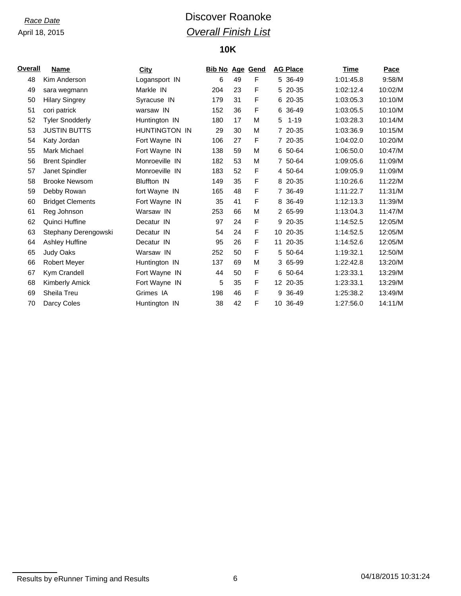# *Race Date* **Discover Roanoke** *Overall Finish List*

## **10K**

| Overall | Name                    | <b>City</b>        | <b>Bib No Age Gend</b> |    |   | <b>AG Place</b> | Time      | Pace    |
|---------|-------------------------|--------------------|------------------------|----|---|-----------------|-----------|---------|
| 48      | Kim Anderson            | Logansport IN      | 6                      | 49 | F | 5 36-49         | 1:01:45.8 | 9:58/M  |
| 49      | sara wegmann            | Markle IN          | 204                    | 23 | F | 5 20-35         | 1:02:12.4 | 10:02/M |
| 50      | <b>Hilary Singrey</b>   | Syracuse IN        | 179                    | 31 | F | 6 20-35         | 1:03:05.3 | 10:10/M |
| 51      | cori patrick            | warsaw IN          | 152                    | 36 | F | 6 36-49         | 1:03:05.5 | 10:10/M |
| 52      | <b>Tyler Snodderly</b>  | Huntington IN      | 180                    | 17 | М | $1 - 19$<br>5   | 1:03:28.3 | 10:14/M |
| 53      | <b>JUSTIN BUTTS</b>     | HUNTINGTON IN      | 29                     | 30 | М | 7 20-35         | 1:03:36.9 | 10:15/M |
| 54      | Katy Jordan             | Fort Wayne IN      | 106                    | 27 | F | 7 20-35         | 1:04:02.0 | 10:20/M |
| 55      | Mark Michael            | Fort Wayne IN      | 138                    | 59 | M | 6 50-64         | 1:06:50.0 | 10:47/M |
| 56      | <b>Brent Spindler</b>   | Monroeville IN     | 182                    | 53 | М | 7 50-64         | 1:09:05.6 | 11:09/M |
| 57      | Janet Spindler          | Monroeville IN     | 183                    | 52 | F | 4 50-64         | 1:09:05.9 | 11:09/M |
| 58      | <b>Brooke Newsom</b>    | <b>Bluffton IN</b> | 149                    | 35 | F | 8 20-35         | 1:10:26.6 | 11:22/M |
| 59      | Debby Rowan             | fort Wayne IN      | 165                    | 48 | F | 7 36-49         | 1:11:22.7 | 11:31/M |
| 60      | <b>Bridget Clements</b> | Fort Wayne IN      | 35                     | 41 | F | 8 36-49         | 1:12:13.3 | 11:39/M |
| 61      | Reg Johnson             | Warsaw IN          | 253                    | 66 | M | 2 65-99         | 1:13:04.3 | 11:47/M |
| 62      | Quinci Huffine          | Decatur IN         | 97                     | 24 | F | 9 20-35         | 1:14:52.5 | 12:05/M |
| 63      | Stephany Derengowski    | Decatur IN         | 54                     | 24 | F | 10 20-35        | 1:14:52.5 | 12:05/M |
| 64      | Ashley Huffine          | Decatur IN         | 95                     | 26 | F | 20-35<br>11     | 1:14:52.6 | 12:05/M |
| 65      | <b>Judy Oaks</b>        | Warsaw IN          | 252                    | 50 | F | 5 50-64         | 1:19:32.1 | 12:50/M |
| 66      | <b>Robert Meyer</b>     | Huntington IN      | 137                    | 69 | М | 3 65-99         | 1:22:42.8 | 13:20/M |
| 67      | Kym Crandell            | Fort Wayne IN      | 44                     | 50 | F | 6 50-64         | 1:23:33.1 | 13:29/M |
| 68      | Kimberly Amick          | Fort Wayne IN      | 5                      | 35 | F | 12 20-35        | 1:23:33.1 | 13:29/M |
| 69      | Sheila Treu             | Grimes IA          | 198                    | 46 | F | 9 36-49         | 1:25:38.2 | 13:49/M |
| 70      | Darcy Coles             | Huntington IN      | 38                     | 42 | F | 10 36-49        | 1:27:56.0 | 14:11/M |

Results by eRunner Timing and Results 6 04/18/2015 10:31:24